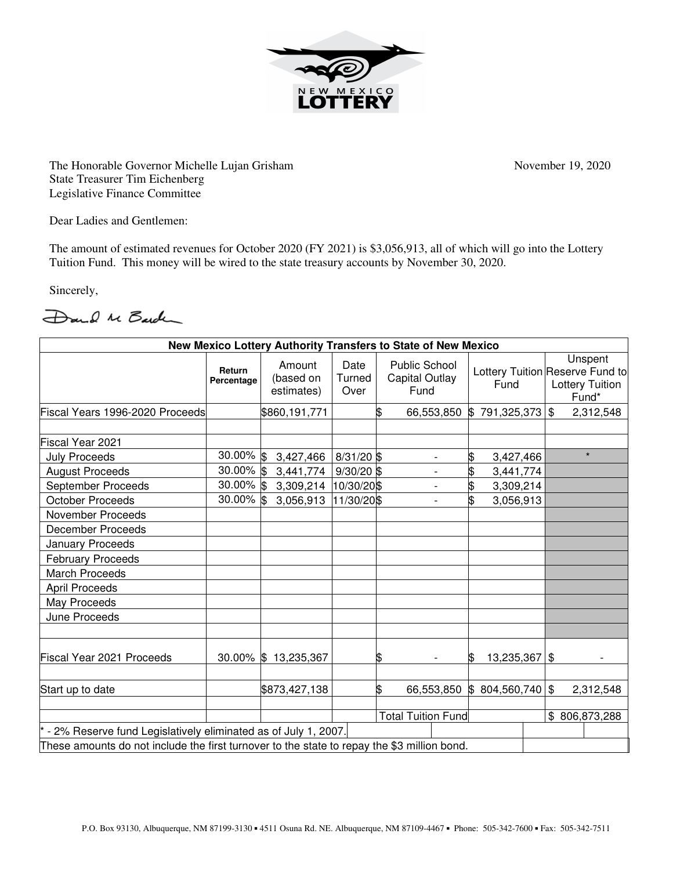

The Honorable Governor Michelle Lujan Grisham November 19, 2020 State Treasurer Tim Eichenberg Legislative Finance Committee

Dear Ladies and Gentlemen:

The amount of estimated revenues for October 2020 (FY 2021) is \$3,056,913, all of which will go into the Lottery Tuition Fund. This money will be wired to the state treasury accounts by November 30, 2020.

Sincerely,

Dand Me Barden

| New Mexico Lottery Authority Transfers to State of New Mexico                               |                      |                                   |                        |                           |                                                |                    |  |                                                                               |
|---------------------------------------------------------------------------------------------|----------------------|-----------------------------------|------------------------|---------------------------|------------------------------------------------|--------------------|--|-------------------------------------------------------------------------------|
|                                                                                             | Return<br>Percentage | Amount<br>(based on<br>estimates) | Date<br>Turned<br>Over |                           | <b>Public School</b><br>Capital Outlay<br>Fund | Fund               |  | Unspent<br>Lottery Tuition Reserve Fund to<br><b>Lottery Tuition</b><br>Fund* |
| Fiscal Years 1996-2020 Proceeds                                                             |                      | \$860,191,771                     |                        | \$                        | 66,553,850                                     | 791,325,373<br>IS. |  | \$<br>2,312,548                                                               |
| Fiscal Year 2021                                                                            |                      |                                   |                        |                           |                                                |                    |  |                                                                               |
| <b>July Proceeds</b>                                                                        | 30.00% \$            | 3,427,466                         | 8/31/20 \$             |                           |                                                | \$<br>3,427,466    |  | $\star$                                                                       |
| <b>August Proceeds</b>                                                                      | 30.00% \$            | 3,441,774                         | $9/30/20$ \$           |                           | $\overline{\phantom{a}}$                       | \$<br>3,441,774    |  |                                                                               |
| September Proceeds                                                                          | 30.00% \$            | 3,309,214                         | 10/30/20\$             |                           | $\overline{a}$                                 | \$<br>3,309,214    |  |                                                                               |
| <b>October Proceeds</b>                                                                     | 30.00% \$            | 3,056,913                         | 11/30/20\$             |                           |                                                | \$<br>3,056,913    |  |                                                                               |
| <b>November Proceeds</b>                                                                    |                      |                                   |                        |                           |                                                |                    |  |                                                                               |
| <b>December Proceeds</b>                                                                    |                      |                                   |                        |                           |                                                |                    |  |                                                                               |
| <b>January Proceeds</b>                                                                     |                      |                                   |                        |                           |                                                |                    |  |                                                                               |
| <b>February Proceeds</b>                                                                    |                      |                                   |                        |                           |                                                |                    |  |                                                                               |
| <b>March Proceeds</b>                                                                       |                      |                                   |                        |                           |                                                |                    |  |                                                                               |
| <b>April Proceeds</b>                                                                       |                      |                                   |                        |                           |                                                |                    |  |                                                                               |
| May Proceeds                                                                                |                      |                                   |                        |                           |                                                |                    |  |                                                                               |
| June Proceeds                                                                               |                      |                                   |                        |                           |                                                |                    |  |                                                                               |
| Fiscal Year 2021 Proceeds                                                                   | $30.00\%$ \$         | 13,235,367                        |                        | \$                        |                                                | 13,235,367<br>ß.   |  | \$                                                                            |
| Start up to date                                                                            |                      | \$873,427,138                     |                        | \$                        | 66,553,850                                     | \$804,560,740      |  | $\sqrt{3}$<br>2,312,548                                                       |
|                                                                                             |                      |                                   |                        | <b>Total Tuition Fund</b> |                                                |                    |  | \$806,873,288                                                                 |
| - 2% Reserve fund Legislatively eliminated as of July 1, 2007.                              |                      |                                   |                        |                           |                                                |                    |  |                                                                               |
| These amounts do not include the first turnover to the state to repay the \$3 million bond. |                      |                                   |                        |                           |                                                |                    |  |                                                                               |
|                                                                                             |                      |                                   |                        |                           |                                                |                    |  |                                                                               |